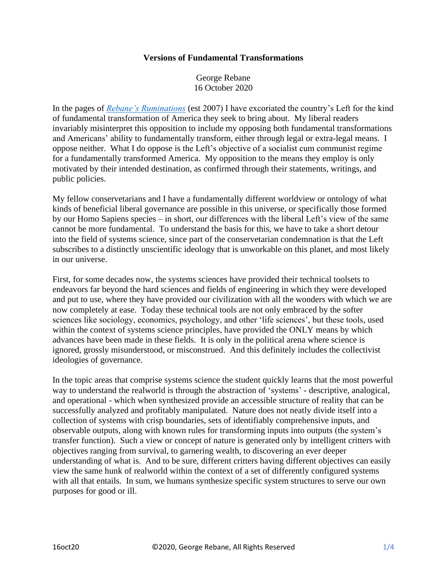## **Versions of Fundamental Transformations**

George Rebane 16 October 2020

In the pages of *[Rebane's Ruminations](https://rebaneruminations.typepad.com/)* (est 2007) I have excoriated the country's Left for the kind of fundamental transformation of America they seek to bring about. My liberal readers invariably misinterpret this opposition to include my opposing both fundamental transformations and Americans' ability to fundamentally transform, either through legal or extra-legal means. I oppose neither. What I do oppose is the Left's objective of a socialist cum communist regime for a fundamentally transformed America. My opposition to the means they employ is only motivated by their intended destination, as confirmed through their statements, writings, and public policies.

My fellow conservetarians and I have a fundamentally different worldview or ontology of what kinds of beneficial liberal governance are possible in this universe, or specifically those formed by our Homo Sapiens species – in short, our differences with the liberal Left's view of the same cannot be more fundamental. To understand the basis for this, we have to take a short detour into the field of systems science, since part of the conservetarian condemnation is that the Left subscribes to a distinctly unscientific ideology that is unworkable on this planet, and most likely in our universe.

First, for some decades now, the systems sciences have provided their technical toolsets to endeavors far beyond the hard sciences and fields of engineering in which they were developed and put to use, where they have provided our civilization with all the wonders with which we are now completely at ease. Today these technical tools are not only embraced by the softer sciences like sociology, economics, psychology, and other 'life sciences', but these tools, used within the context of systems science principles, have provided the ONLY means by which advances have been made in these fields. It is only in the political arena where science is ignored, grossly misunderstood, or misconstrued. And this definitely includes the collectivist ideologies of governance.

In the topic areas that comprise systems science the student quickly learns that the most powerful way to understand the realworld is through the abstraction of 'systems' - descriptive, analogical, and operational - which when synthesized provide an accessible structure of reality that can be successfully analyzed and profitably manipulated. Nature does not neatly divide itself into a collection of systems with crisp boundaries, sets of identifiably comprehensive inputs, and observable outputs, along with known rules for transforming inputs into outputs (the system's transfer function). Such a view or concept of nature is generated only by intelligent critters with objectives ranging from survival, to garnering wealth, to discovering an ever deeper understanding of what is. And to be sure, different critters having different objectives can easily view the same hunk of realworld within the context of a set of differently configured systems with all that entails. In sum, we humans synthesize specific system structures to serve our own purposes for good or ill.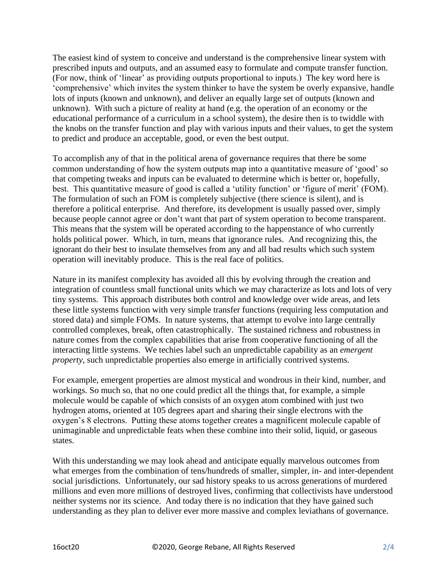The easiest kind of system to conceive and understand is the comprehensive linear system with prescribed inputs and outputs, and an assumed easy to formulate and compute transfer function. (For now, think of 'linear' as providing outputs proportional to inputs.) The key word here is 'comprehensive' which invites the system thinker to have the system be overly expansive, handle lots of inputs (known and unknown), and deliver an equally large set of outputs (known and unknown). With such a picture of reality at hand (e.g. the operation of an economy or the educational performance of a curriculum in a school system), the desire then is to twiddle with the knobs on the transfer function and play with various inputs and their values, to get the system to predict and produce an acceptable, good, or even the best output.

To accomplish any of that in the political arena of governance requires that there be some common understanding of how the system outputs map into a quantitative measure of 'good' so that competing tweaks and inputs can be evaluated to determine which is better or, hopefully, best. This quantitative measure of good is called a 'utility function' or 'figure of merit' (FOM). The formulation of such an FOM is completely subjective (there science is silent), and is therefore a political enterprise. And therefore, its development is usually passed over, simply because people cannot agree or don't want that part of system operation to become transparent. This means that the system will be operated according to the happenstance of who currently holds political power. Which, in turn, means that ignorance rules. And recognizing this, the ignorant do their best to insulate themselves from any and all bad results which such system operation will inevitably produce. This is the real face of politics.

Nature in its manifest complexity has avoided all this by evolving through the creation and integration of countless small functional units which we may characterize as lots and lots of very tiny systems. This approach distributes both control and knowledge over wide areas, and lets these little systems function with very simple transfer functions (requiring less computation and stored data) and simple FOMs. In nature systems, that attempt to evolve into large centrally controlled complexes, break, often catastrophically. The sustained richness and robustness in nature comes from the complex capabilities that arise from cooperative functioning of all the interacting little systems. We techies label such an unpredictable capability as an *emergent property*, such unpredictable properties also emerge in artificially contrived systems.

For example, emergent properties are almost mystical and wondrous in their kind, number, and workings. So much so, that no one could predict all the things that, for example, a simple molecule would be capable of which consists of an oxygen atom combined with just two hydrogen atoms, oriented at 105 degrees apart and sharing their single electrons with the oxygen's 8 electrons. Putting these atoms together creates a magnificent molecule capable of unimaginable and unpredictable feats when these combine into their solid, liquid, or gaseous states.

With this understanding we may look ahead and anticipate equally marvelous outcomes from what emerges from the combination of tens/hundreds of smaller, simpler, in- and inter-dependent social jurisdictions. Unfortunately, our sad history speaks to us across generations of murdered millions and even more millions of destroyed lives, confirming that collectivists have understood neither systems nor its science. And today there is no indication that they have gained such understanding as they plan to deliver ever more massive and complex leviathans of governance.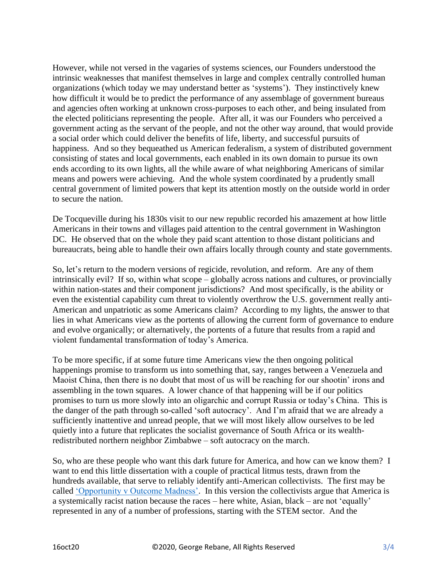However, while not versed in the vagaries of systems sciences, our Founders understood the intrinsic weaknesses that manifest themselves in large and complex centrally controlled human organizations (which today we may understand better as 'systems'). They instinctively knew how difficult it would be to predict the performance of any assemblage of government bureaus and agencies often working at unknown cross-purposes to each other, and being insulated from the elected politicians representing the people. After all, it was our Founders who perceived a government acting as the servant of the people, and not the other way around, that would provide a social order which could deliver the benefits of life, liberty, and successful pursuits of happiness. And so they bequeathed us American federalism, a system of distributed government consisting of states and local governments, each enabled in its own domain to pursue its own ends according to its own lights, all the while aware of what neighboring Americans of similar means and powers were achieving. And the whole system coordinated by a prudently small central government of limited powers that kept its attention mostly on the outside world in order to secure the nation.

De Tocqueville during his 1830s visit to our new republic recorded his amazement at how little Americans in their towns and villages paid attention to the central government in Washington DC. He observed that on the whole they paid scant attention to those distant politicians and bureaucrats, being able to handle their own affairs locally through county and state governments.

So, let's return to the modern versions of regicide, revolution, and reform. Are any of them intrinsically evil? If so, within what scope – globally across nations and cultures, or provincially within nation-states and their component jurisdictions? And most specifically, is the ability or even the existential capability cum threat to violently overthrow the U.S. government really anti-American and unpatriotic as some Americans claim? According to my lights, the answer to that lies in what Americans view as the portents of allowing the current form of governance to endure and evolve organically; or alternatively, the portents of a future that results from a rapid and violent fundamental transformation of today's America.

To be more specific, if at some future time Americans view the then ongoing political happenings promise to transform us into something that, say, ranges between a Venezuela and Maoist China, then there is no doubt that most of us will be reaching for our shootin' irons and assembling in the town squares. A lower chance of that happening will be if our politics promises to turn us more slowly into an oligarchic and corrupt Russia or today's China. This is the danger of the path through so-called 'soft autocracy'. And I'm afraid that we are already a sufficiently inattentive and unread people, that we will most likely allow ourselves to be led quietly into a future that replicates the socialist governance of South Africa or its wealthredistributed northern neighbor Zimbabwe – soft autocracy on the march.

So, who are these people who want this dark future for America, and how can we know them? I want to end this little dissertation with a couple of practical litmus tests, drawn from the hundreds available, that serve to reliably identify anti-American collectivists. The first may be called ['Opportunity v Outcome Madness'.](https://quillette.com/2020/09/29/radicalized-antiracism-on-campus-as-seen-from-the-computer-lab/) In this version the collectivists argue that America is a systemically racist nation because the races – here white, Asian, black – are not 'equally' represented in any of a number of professions, starting with the STEM sector. And the